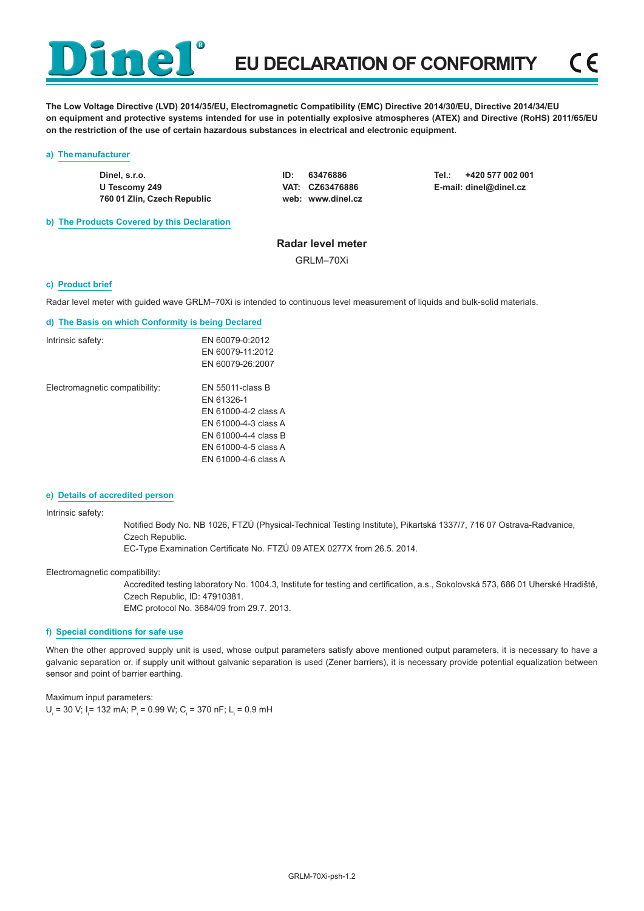# 2

**The Low Voltage Directive (LVD) 2014/35/EU, Electromagnetic Compatibility (EMC) Directive 2014/30/EU, Directive 2014/34/EU on equipment and protective systems intended for use in potentially explosive atmospheres (ATEX) and Directive (RoHS) 2011/65/EU on the restriction of the use of certain hazardous substances in electrical and electronic equipment.**

#### **a) The manufacturer**

**Dinel, s.r.o. U Tescomy 249 760 01 Zlín, Czech Republic** **ID: 63476886 VAT: CZ63476886 web: www.dinel.cz** **Tel.: +420 577 002 001 E-mail: dinel@dinel.cz**

## **b) The Products Covered by this Declaration**

# **Radar level meter**

GRLM–70Xi

# **c) Product brief**

Radar level meter with guided wave GRLM–70Xi is intended to continuous level measurement of liquids and bulk-solid materials.

#### **d) The Basis on which Conformity is being Declared**

| Intrinsic safety:              | EN 60079-0:2012             |
|--------------------------------|-----------------------------|
|                                | EN 60079-11:2012            |
|                                | EN 60079-26:2007            |
| Electromagnetic compatibility: | <b>EN 55011-class B</b>     |
|                                | FN 61326-1                  |
|                                | EN 61000-4-2 class A        |
|                                | FN 61000-4-3 class A        |
|                                | <b>FN 61000-4-4 class B</b> |
|                                | EN 61000-4-5 class A        |
|                                | EN 61000-4-6 class A        |
|                                |                             |

### **e) Details of accredited person**

#### Intrinsic safety:

 Notified Body No. NB 1026, FTZÚ (Physical-Technical Testing Institute), Pikartská 1337/7, 716 07 Ostrava-Radvanice, Czech Republic.

 EC-Type Examination Certificate No. FTZÚ 09 ATEX 0277X from 26.5. 2014.

#### Electromagnetic compatibility:

 Accredited testing laboratory No. 1004.3, Institute for testing and certification, a.s., Sokolovská 573, 686 01 Uherské Hradiště, Czech Republic, ID: 47910381. EMC protocol No. 3684/09 from 29.7. 2013.

#### **f) Special conditions for safe use**

When the other approved supply unit is used, whose output parameters satisfy above mentioned output parameters, it is necessary to have a galvanic separation or, if supply unit without galvanic separation is used (Zener barriers), it is necessary provide potential equalization between sensor and point of barrier earthing.

Maximum input parameters:  $U_i$  = 30 V; I<sub>i</sub> = 132 mA; P<sub>i</sub> = 0.99 W; C<sub>i</sub> = 370 nF; L<sub>i</sub> = 0.9 mH